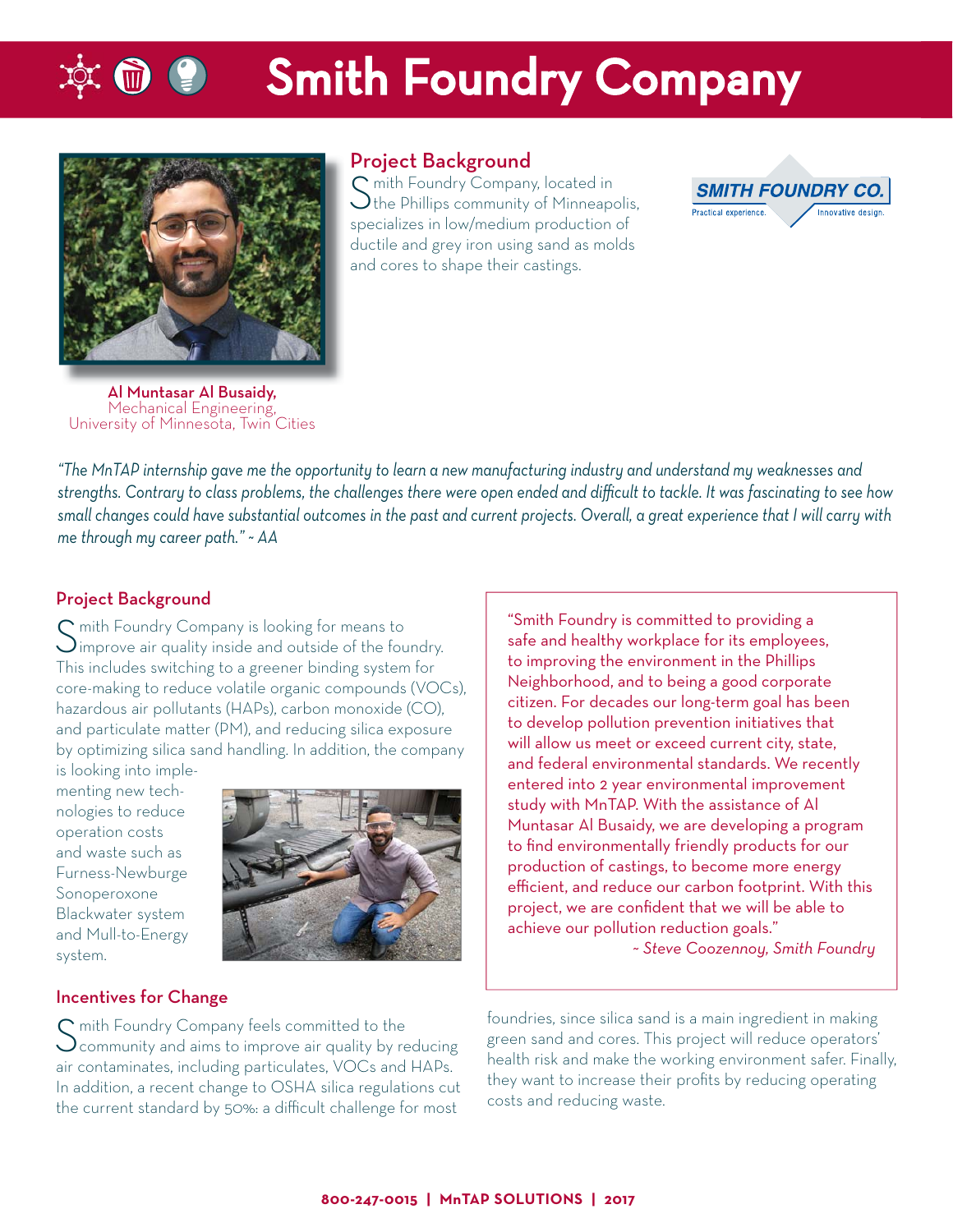# **Smith Foundry Company**



#### Project Background

 $\Gamma$  mith Foundry Company, located in  $\bigcup$  the Phillips community of Minneapolis, specializes in low/medium production of ductile and grey iron using sand as molds and cores to shape their castings.



Al Muntasar Al Busaidy,<br>Mechanical Engineering, University of Minnesota, Twin Cities

*"The MnTAP internship gave me the opportunity to learn a new manufacturing industry and understand my weaknesses and strengths. Contrary to class problems, the challenges there were open ended and diffi cult to tackle. It was fascinating to see how small changes could have substantial outcomes in the past and current projects. Overall, a great experience that I will carry with* 

Project Background

*me through my career path." ~ AA*

S mith Foundry Company is looking for means to Simprove air quality inside and outside of the foundry. This includes switching to a greener binding system for core-making to reduce volatile organic compounds (VOCs), hazardous air pollutants (HAPs), carbon monoxide (CO), and particulate matter (PM), and reducing silica exposure by optimizing silica sand handling. In addition, the company

is looking into implementing new technologies to reduce operation costs and waste such as Furness-Newburge Sonoperoxone Blackwater system and Mull-to-Energy system.



#### Incentives for Change

 $\mathsf C$  mith Foundry Company feels committed to the  $\bigcup$  community and aims to improve air quality by reducing air contaminates, including particulates, VOCs and HAPs. In addition, a recent change to OSHA silica regulations cut the current standard by 50%: a difficult challenge for most

"Smith Foundry is committed to providing a safe and healthy workplace for its employees, to improving the environment in the Phillips Neighborhood, and to being a good corporate citizen. For decades our long-term goal has been to develop pollution prevention initiatives that will allow us meet or exceed current city, state, and federal environmental standards. We recently entered into 2 year environmental improvement study with MnTAP. With the assistance of Al Muntasar Al Busaidy, we are developing a program to find environmentally friendly products for our production of castings, to become more energy efficient, and reduce our carbon footprint. With this project, we are confident that we will be able to achieve our pollution reduction goals." *~ Steve Coozennoy, Smith Foundry*

foundries, since silica sand is a main ingredient in making green sand and cores. This project will reduce operators' health risk and make the working environment safer. Finally, they want to increase their profits by reducing operating costs and reducing waste.